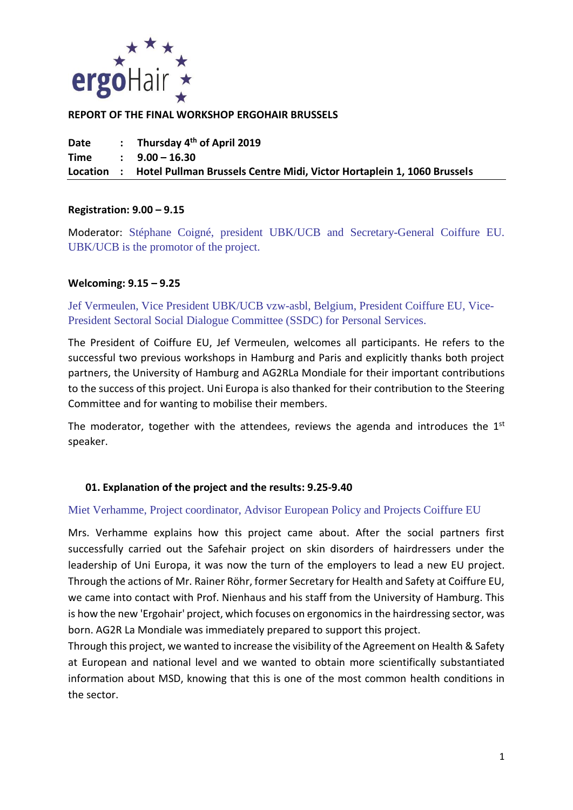

#### **REPORT OF THE FINAL WORKSHOP ERGOHAIR BRUSSELS**

**Date : Thursday 4 th of April 2019 Time : 9.00 – 16.30 Location : Hotel Pullman Brussels Centre Midi, Victor Hortaplein 1, 1060 Brussels**

#### **Registration: 9.00 – 9.15**

Moderator: Stéphane Coigné, president UBK/UCB and Secretary-General Coiffure EU. UBK/UCB is the promotor of the project.

#### **Welcoming: 9.15 – 9.25**

Jef Vermeulen, Vice President UBK/UCB vzw-asbl, Belgium, President Coiffure EU, Vice-President Sectoral Social Dialogue Committee (SSDC) for Personal Services.

The President of Coiffure EU, Jef Vermeulen, welcomes all participants. He refers to the successful two previous workshops in Hamburg and Paris and explicitly thanks both project partners, the University of Hamburg and AG2RLa Mondiale for their important contributions to the success of this project. Uni Europa is also thanked for their contribution to the Steering Committee and for wanting to mobilise their members.

The moderator, together with the attendees, reviews the agenda and introduces the  $1<sup>st</sup>$ speaker.

#### **01. Explanation of the project and the results: 9.25-9.40**

#### Miet Verhamme, Project coordinator, Advisor European Policy and Projects Coiffure EU

Mrs. Verhamme explains how this project came about. After the social partners first successfully carried out the Safehair project on skin disorders of hairdressers under the leadership of Uni Europa, it was now the turn of the employers to lead a new EU project. Through the actions of Mr. Rainer Röhr, former Secretary for Health and Safety at Coiffure EU, we came into contact with Prof. Nienhaus and his staff from the University of Hamburg. This is how the new 'Ergohair' project, which focuses on ergonomics in the hairdressing sector, was born. AG2R La Mondiale was immediately prepared to support this project.

Through this project, we wanted to increase the visibility of the Agreement on Health & Safety at European and national level and we wanted to obtain more scientifically substantiated information about MSD, knowing that this is one of the most common health conditions in the sector.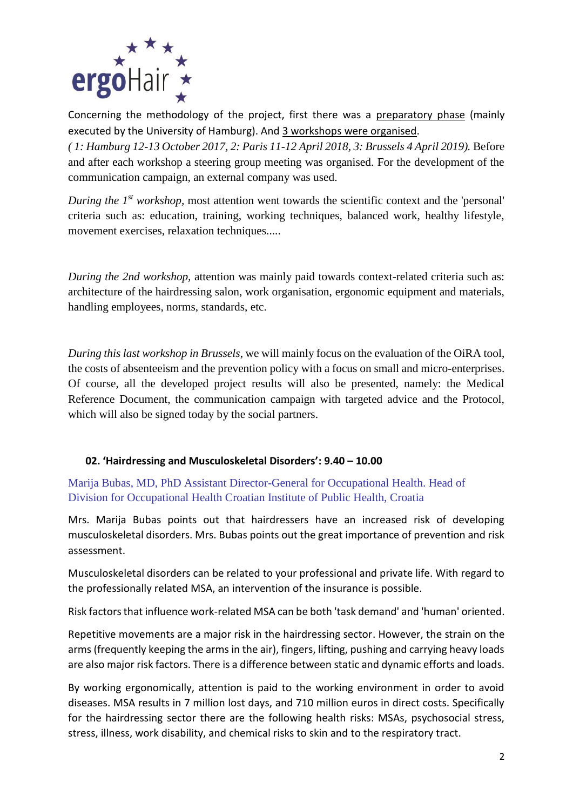

Concerning the methodology of the project, first there was a preparatory phase (mainly executed by the University of Hamburg). And 3 workshops were organised.

*( 1: Hamburg 12-13 October 2017, 2: Paris 11-12 April 2018, 3: Brussels 4 April 2019).* Before and after each workshop a steering group meeting was organised. For the development of the communication campaign, an external company was used.

*During the 1<sup>st</sup> workshop*, most attention went towards the scientific context and the 'personal' criteria such as: education, training, working techniques, balanced work, healthy lifestyle, movement exercises, relaxation techniques.....

*During the 2nd workshop,* attention was mainly paid towards context-related criteria such as: architecture of the hairdressing salon, work organisation, ergonomic equipment and materials, handling employees, norms, standards, etc.

*During this last workshop in Brussels*, we will mainly focus on the evaluation of the OiRA tool, the costs of absenteeism and the prevention policy with a focus on small and micro-enterprises. Of course, all the developed project results will also be presented, namely: the Medical Reference Document, the communication campaign with targeted advice and the Protocol, which will also be signed today by the social partners.

## **02. 'Hairdressing and Musculoskeletal Disorders': 9.40 – 10.00**

Marija Bubas, MD, PhD Assistant Director-General for Occupational Health. Head of Division for Occupational Health Croatian Institute of Public Health, Croatia

Mrs. Marija Bubas points out that hairdressers have an increased risk of developing musculoskeletal disorders. Mrs. Bubas points out the great importance of prevention and risk assessment.

Musculoskeletal disorders can be related to your professional and private life. With regard to the professionally related MSA, an intervention of the insurance is possible.

Risk factors that influence work-related MSA can be both 'task demand' and 'human' oriented.

Repetitive movements are a major risk in the hairdressing sector. However, the strain on the arms (frequently keeping the arms in the air), fingers, lifting, pushing and carrying heavy loads are also major risk factors. There is a difference between static and dynamic efforts and loads.

By working ergonomically, attention is paid to the working environment in order to avoid diseases. MSA results in 7 million lost days, and 710 million euros in direct costs. Specifically for the hairdressing sector there are the following health risks: MSAs, psychosocial stress, stress, illness, work disability, and chemical risks to skin and to the respiratory tract.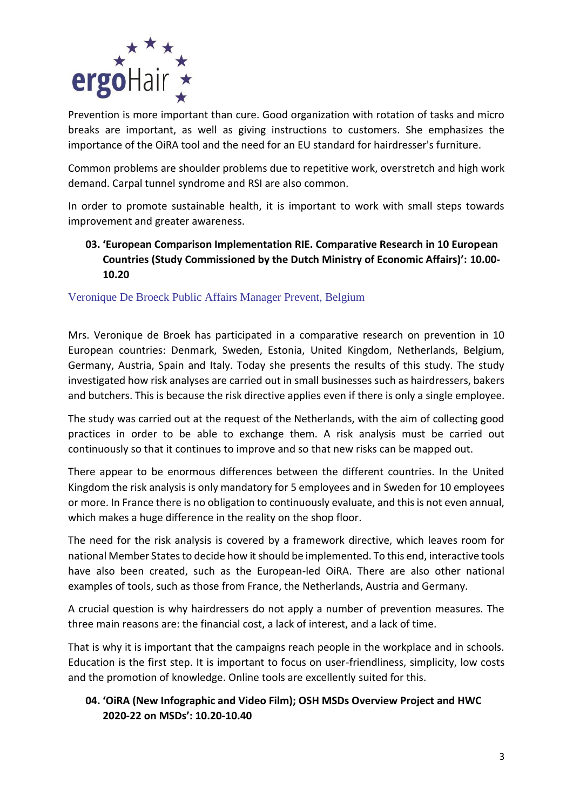

Prevention is more important than cure. Good organization with rotation of tasks and micro breaks are important, as well as giving instructions to customers. She emphasizes the importance of the OiRA tool and the need for an EU standard for hairdresser's furniture.

Common problems are shoulder problems due to repetitive work, overstretch and high work demand. Carpal tunnel syndrome and RSI are also common.

In order to promote sustainable health, it is important to work with small steps towards improvement and greater awareness.

# **03. 'European Comparison Implementation RIE. Comparative Research in 10 European Countries (Study Commissioned by the Dutch Ministry of Economic Affairs)': 10.00- 10.20**

Veronique De Broeck Public Affairs Manager Prevent, Belgium

Mrs. Veronique de Broek has participated in a comparative research on prevention in 10 European countries: Denmark, Sweden, Estonia, United Kingdom, Netherlands, Belgium, Germany, Austria, Spain and Italy. Today she presents the results of this study. The study investigated how risk analyses are carried out in small businesses such as hairdressers, bakers and butchers. This is because the risk directive applies even if there is only a single employee.

The study was carried out at the request of the Netherlands, with the aim of collecting good practices in order to be able to exchange them. A risk analysis must be carried out continuously so that it continues to improve and so that new risks can be mapped out.

There appear to be enormous differences between the different countries. In the United Kingdom the risk analysis is only mandatory for 5 employees and in Sweden for 10 employees or more. In France there is no obligation to continuously evaluate, and this is not even annual, which makes a huge difference in the reality on the shop floor.

The need for the risk analysis is covered by a framework directive, which leaves room for national Member States to decide how it should be implemented. To this end, interactive tools have also been created, such as the European-led OiRA. There are also other national examples of tools, such as those from France, the Netherlands, Austria and Germany.

A crucial question is why hairdressers do not apply a number of prevention measures. The three main reasons are: the financial cost, a lack of interest, and a lack of time.

That is why it is important that the campaigns reach people in the workplace and in schools. Education is the first step. It is important to focus on user-friendliness, simplicity, low costs and the promotion of knowledge. Online tools are excellently suited for this.

# **04. 'OiRA (New Infographic and Video Film); OSH MSDs Overview Project and HWC 2020-22 on MSDs': 10.20-10.40**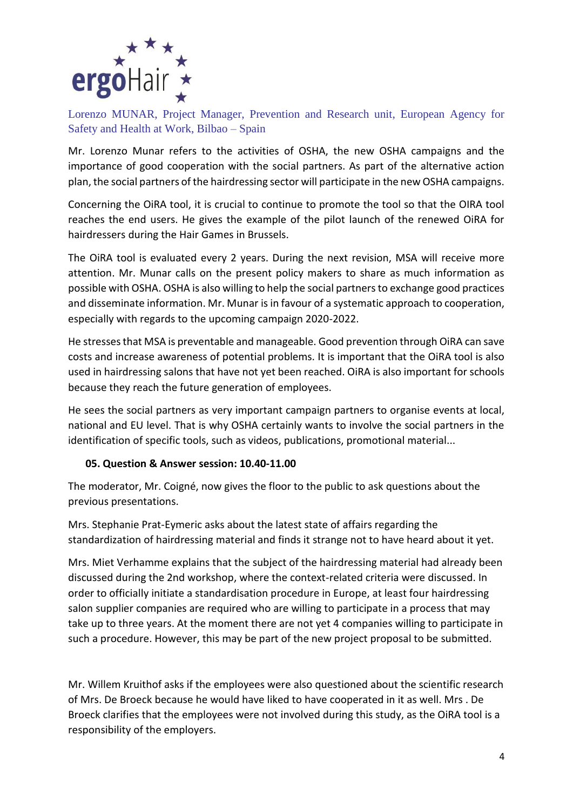

Lorenzo MUNAR, Project Manager, Prevention and Research unit, European Agency for Safety and Health at Work, Bilbao – Spain

Mr. Lorenzo Munar refers to the activities of OSHA, the new OSHA campaigns and the importance of good cooperation with the social partners. As part of the alternative action plan, the social partners of the hairdressing sector will participate in the new OSHA campaigns.

Concerning the OiRA tool, it is crucial to continue to promote the tool so that the OIRA tool reaches the end users. He gives the example of the pilot launch of the renewed OiRA for hairdressers during the Hair Games in Brussels.

The OiRA tool is evaluated every 2 years. During the next revision, MSA will receive more attention. Mr. Munar calls on the present policy makers to share as much information as possible with OSHA. OSHA is also willing to help the social partners to exchange good practices and disseminate information. Mr. Munar is in favour of a systematic approach to cooperation, especially with regards to the upcoming campaign 2020-2022.

He stresses that MSA is preventable and manageable. Good prevention through OiRA can save costs and increase awareness of potential problems. It is important that the OiRA tool is also used in hairdressing salons that have not yet been reached. OiRA is also important for schools because they reach the future generation of employees.

He sees the social partners as very important campaign partners to organise events at local, national and EU level. That is why OSHA certainly wants to involve the social partners in the identification of specific tools, such as videos, publications, promotional material...

## **05. Question & Answer session: 10.40-11.00**

The moderator, Mr. Coigné, now gives the floor to the public to ask questions about the previous presentations.

Mrs. Stephanie Prat-Eymeric asks about the latest state of affairs regarding the standardization of hairdressing material and finds it strange not to have heard about it yet.

Mrs. Miet Verhamme explains that the subject of the hairdressing material had already been discussed during the 2nd workshop, where the context-related criteria were discussed. In order to officially initiate a standardisation procedure in Europe, at least four hairdressing salon supplier companies are required who are willing to participate in a process that may take up to three years. At the moment there are not yet 4 companies willing to participate in such a procedure. However, this may be part of the new project proposal to be submitted.

Mr. Willem Kruithof asks if the employees were also questioned about the scientific research of Mrs. De Broeck because he would have liked to have cooperated in it as well. Mrs . De Broeck clarifies that the employees were not involved during this study, as the OiRA tool is a responsibility of the employers.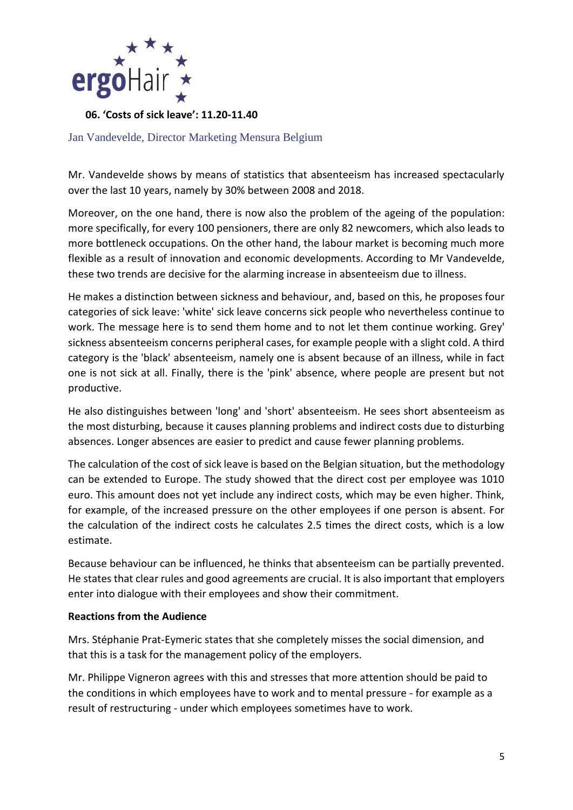

**06. 'Costs of sick leave': 11.20-11.40**

Jan Vandevelde, Director Marketing Mensura Belgium

Mr. Vandevelde shows by means of statistics that absenteeism has increased spectacularly over the last 10 years, namely by 30% between 2008 and 2018.

Moreover, on the one hand, there is now also the problem of the ageing of the population: more specifically, for every 100 pensioners, there are only 82 newcomers, which also leads to more bottleneck occupations. On the other hand, the labour market is becoming much more flexible as a result of innovation and economic developments. According to Mr Vandevelde, these two trends are decisive for the alarming increase in absenteeism due to illness.

He makes a distinction between sickness and behaviour, and, based on this, he proposes four categories of sick leave: 'white' sick leave concerns sick people who nevertheless continue to work. The message here is to send them home and to not let them continue working. Grey' sickness absenteeism concerns peripheral cases, for example people with a slight cold. A third category is the 'black' absenteeism, namely one is absent because of an illness, while in fact one is not sick at all. Finally, there is the 'pink' absence, where people are present but not productive.

He also distinguishes between 'long' and 'short' absenteeism. He sees short absenteeism as the most disturbing, because it causes planning problems and indirect costs due to disturbing absences. Longer absences are easier to predict and cause fewer planning problems.

The calculation of the cost of sick leave is based on the Belgian situation, but the methodology can be extended to Europe. The study showed that the direct cost per employee was 1010 euro. This amount does not yet include any indirect costs, which may be even higher. Think, for example, of the increased pressure on the other employees if one person is absent. For the calculation of the indirect costs he calculates 2.5 times the direct costs, which is a low estimate.

Because behaviour can be influenced, he thinks that absenteeism can be partially prevented. He states that clear rules and good agreements are crucial. It is also important that employers enter into dialogue with their employees and show their commitment.

#### **Reactions from the Audience**

Mrs. Stéphanie Prat-Eymeric states that she completely misses the social dimension, and that this is a task for the management policy of the employers.

Mr. Philippe Vigneron agrees with this and stresses that more attention should be paid to the conditions in which employees have to work and to mental pressure - for example as a result of restructuring - under which employees sometimes have to work.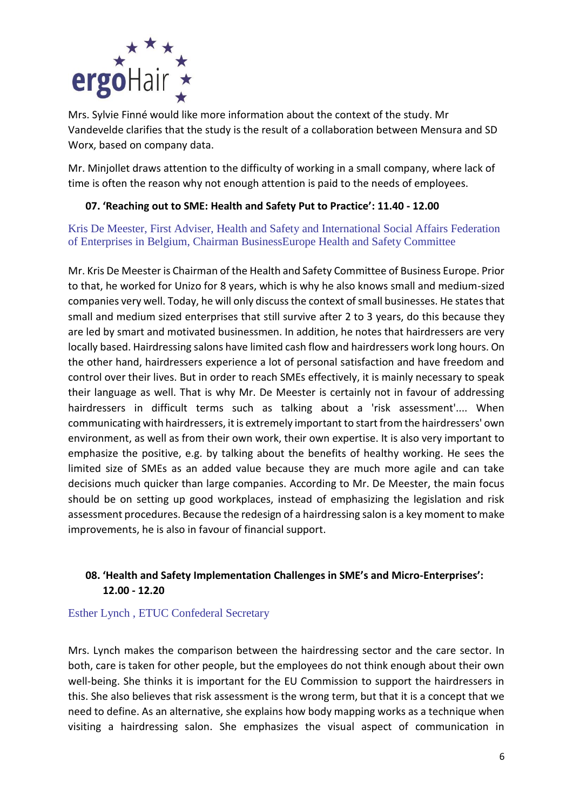

Mrs. Sylvie Finné would like more information about the context of the study. Mr Vandevelde clarifies that the study is the result of a collaboration between Mensura and SD Worx, based on company data.

Mr. Minjollet draws attention to the difficulty of working in a small company, where lack of time is often the reason why not enough attention is paid to the needs of employees.

## **07. 'Reaching out to SME: Health and Safety Put to Practice': 11.40 - 12.00**

Kris De Meester, First Adviser, Health and Safety and International Social Affairs Federation of Enterprises in Belgium, Chairman BusinessEurope Health and Safety Committee

Mr. Kris De Meester is Chairman of the Health and Safety Committee of Business Europe. Prior to that, he worked for Unizo for 8 years, which is why he also knows small and medium-sized companies very well. Today, he will only discuss the context of small businesses. He states that small and medium sized enterprises that still survive after 2 to 3 years, do this because they are led by smart and motivated businessmen. In addition, he notes that hairdressers are very locally based. Hairdressing salons have limited cash flow and hairdressers work long hours. On the other hand, hairdressers experience a lot of personal satisfaction and have freedom and control over their lives. But in order to reach SMEs effectively, it is mainly necessary to speak their language as well. That is why Mr. De Meester is certainly not in favour of addressing hairdressers in difficult terms such as talking about a 'risk assessment'.... When communicating with hairdressers, it is extremely important to start from the hairdressers' own environment, as well as from their own work, their own expertise. It is also very important to emphasize the positive, e.g. by talking about the benefits of healthy working. He sees the limited size of SMEs as an added value because they are much more agile and can take decisions much quicker than large companies. According to Mr. De Meester, the main focus should be on setting up good workplaces, instead of emphasizing the legislation and risk assessment procedures. Because the redesign of a hairdressing salon is a key moment to make improvements, he is also in favour of financial support.

# **08. 'Health and Safety Implementation Challenges in SME's and Micro-Enterprises': 12.00 - 12.20**

## Esther Lynch , ETUC Confederal Secretary

Mrs. Lynch makes the comparison between the hairdressing sector and the care sector. In both, care is taken for other people, but the employees do not think enough about their own well-being. She thinks it is important for the EU Commission to support the hairdressers in this. She also believes that risk assessment is the wrong term, but that it is a concept that we need to define. As an alternative, she explains how body mapping works as a technique when visiting a hairdressing salon. She emphasizes the visual aspect of communication in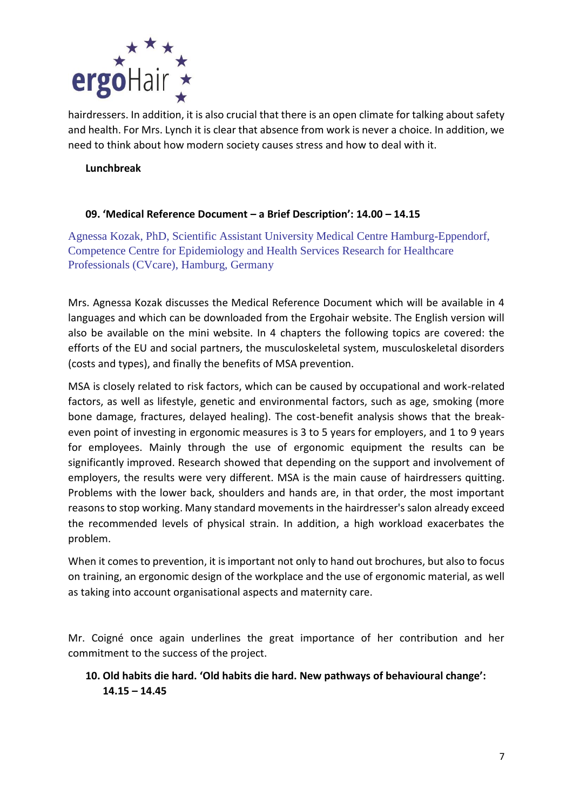

hairdressers. In addition, it is also crucial that there is an open climate for talking about safety and health. For Mrs. Lynch it is clear that absence from work is never a choice. In addition, we need to think about how modern society causes stress and how to deal with it.

#### **Lunchbreak**

#### **09. 'Medical Reference Document – a Brief Description': 14.00 – 14.15**

Agnessa Kozak, PhD, Scientific Assistant University Medical Centre Hamburg-Eppendorf, Competence Centre for Epidemiology and Health Services Research for Healthcare Professionals (CVcare), Hamburg, Germany

Mrs. Agnessa Kozak discusses the Medical Reference Document which will be available in 4 languages and which can be downloaded from the Ergohair website. The English version will also be available on the mini website. In 4 chapters the following topics are covered: the efforts of the EU and social partners, the musculoskeletal system, musculoskeletal disorders (costs and types), and finally the benefits of MSA prevention.

MSA is closely related to risk factors, which can be caused by occupational and work-related factors, as well as lifestyle, genetic and environmental factors, such as age, smoking (more bone damage, fractures, delayed healing). The cost-benefit analysis shows that the breakeven point of investing in ergonomic measures is 3 to 5 years for employers, and 1 to 9 years for employees. Mainly through the use of ergonomic equipment the results can be significantly improved. Research showed that depending on the support and involvement of employers, the results were very different. MSA is the main cause of hairdressers quitting. Problems with the lower back, shoulders and hands are, in that order, the most important reasons to stop working. Many standard movements in the hairdresser's salon already exceed the recommended levels of physical strain. In addition, a high workload exacerbates the problem.

When it comes to prevention, it is important not only to hand out brochures, but also to focus on training, an ergonomic design of the workplace and the use of ergonomic material, as well as taking into account organisational aspects and maternity care.

Mr. Coigné once again underlines the great importance of her contribution and her commitment to the success of the project.

# **10. Old habits die hard. 'Old habits die hard. New pathways of behavioural change': 14.15 – 14.45**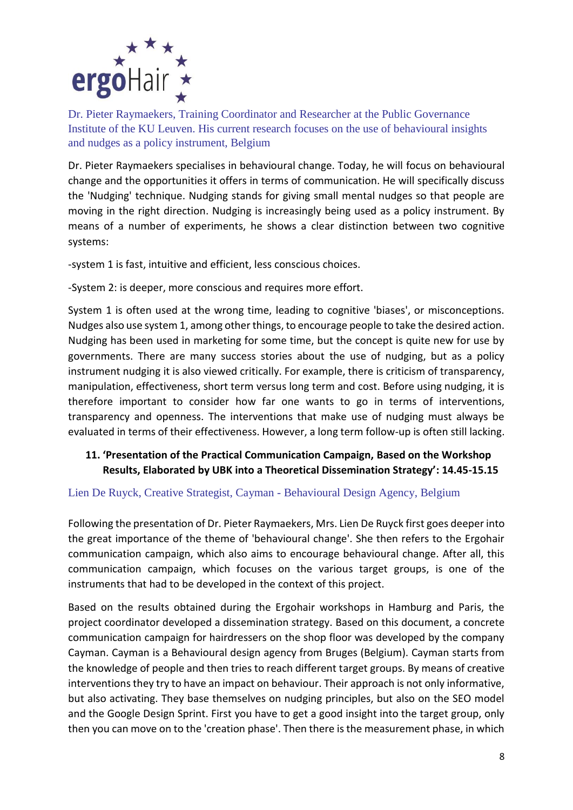

Dr. Pieter Raymaekers, Training Coordinator and Researcher at the Public Governance Institute of the KU Leuven. His current research focuses on the use of behavioural insights and nudges as a policy instrument, Belgium

Dr. Pieter Raymaekers specialises in behavioural change. Today, he will focus on behavioural change and the opportunities it offers in terms of communication. He will specifically discuss the 'Nudging' technique. Nudging stands for giving small mental nudges so that people are moving in the right direction. Nudging is increasingly being used as a policy instrument. By means of a number of experiments, he shows a clear distinction between two cognitive systems:

-system 1 is fast, intuitive and efficient, less conscious choices.

-System 2: is deeper, more conscious and requires more effort.

System 1 is often used at the wrong time, leading to cognitive 'biases', or misconceptions. Nudges also use system 1, among other things, to encourage people to take the desired action. Nudging has been used in marketing for some time, but the concept is quite new for use by governments. There are many success stories about the use of nudging, but as a policy instrument nudging it is also viewed critically. For example, there is criticism of transparency, manipulation, effectiveness, short term versus long term and cost. Before using nudging, it is therefore important to consider how far one wants to go in terms of interventions, transparency and openness. The interventions that make use of nudging must always be evaluated in terms of their effectiveness. However, a long term follow-up is often still lacking.

# **11. 'Presentation of the Practical Communication Campaign, Based on the Workshop Results, Elaborated by UBK into a Theoretical Dissemination Strategy': 14.45-15.15**

## Lien De Ruyck, Creative Strategist, Cayman - Behavioural Design Agency, Belgium

Following the presentation of Dr. Pieter Raymaekers, Mrs. Lien De Ruyck first goes deeper into the great importance of the theme of 'behavioural change'. She then refers to the Ergohair communication campaign, which also aims to encourage behavioural change. After all, this communication campaign, which focuses on the various target groups, is one of the instruments that had to be developed in the context of this project.

Based on the results obtained during the Ergohair workshops in Hamburg and Paris, the project coordinator developed a dissemination strategy. Based on this document, a concrete communication campaign for hairdressers on the shop floor was developed by the company Cayman. Cayman is a Behavioural design agency from Bruges (Belgium). Cayman starts from the knowledge of people and then tries to reach different target groups. By means of creative interventions they try to have an impact on behaviour. Their approach is not only informative, but also activating. They base themselves on nudging principles, but also on the SEO model and the Google Design Sprint. First you have to get a good insight into the target group, only then you can move on to the 'creation phase'. Then there is the measurement phase, in which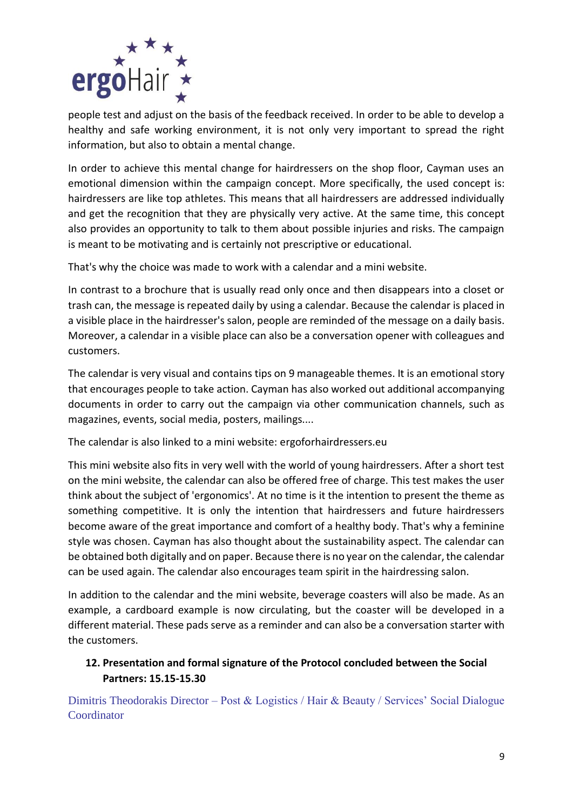

people test and adjust on the basis of the feedback received. In order to be able to develop a healthy and safe working environment, it is not only very important to spread the right information, but also to obtain a mental change.

In order to achieve this mental change for hairdressers on the shop floor, Cayman uses an emotional dimension within the campaign concept. More specifically, the used concept is: hairdressers are like top athletes. This means that all hairdressers are addressed individually and get the recognition that they are physically very active. At the same time, this concept also provides an opportunity to talk to them about possible injuries and risks. The campaign is meant to be motivating and is certainly not prescriptive or educational.

That's why the choice was made to work with a calendar and a mini website.

In contrast to a brochure that is usually read only once and then disappears into a closet or trash can, the message is repeated daily by using a calendar. Because the calendar is placed in a visible place in the hairdresser's salon, people are reminded of the message on a daily basis. Moreover, a calendar in a visible place can also be a conversation opener with colleagues and customers.

The calendar is very visual and contains tips on 9 manageable themes. It is an emotional story that encourages people to take action. Cayman has also worked out additional accompanying documents in order to carry out the campaign via other communication channels, such as magazines, events, social media, posters, mailings....

The calendar is also linked to a mini website: ergoforhairdressers.eu

This mini website also fits in very well with the world of young hairdressers. After a short test on the mini website, the calendar can also be offered free of charge. This test makes the user think about the subject of 'ergonomics'. At no time is it the intention to present the theme as something competitive. It is only the intention that hairdressers and future hairdressers become aware of the great importance and comfort of a healthy body. That's why a feminine style was chosen. Cayman has also thought about the sustainability aspect. The calendar can be obtained both digitally and on paper. Because there is no year on the calendar, the calendar can be used again. The calendar also encourages team spirit in the hairdressing salon.

In addition to the calendar and the mini website, beverage coasters will also be made. As an example, a cardboard example is now circulating, but the coaster will be developed in a different material. These pads serve as a reminder and can also be a conversation starter with the customers.

# **12. Presentation and formal signature of the Protocol concluded between the Social Partners: 15.15-15.30**

Dimitris Theodorakis Director – Post & Logistics / Hair & Beauty / Services' Social Dialogue **Coordinator**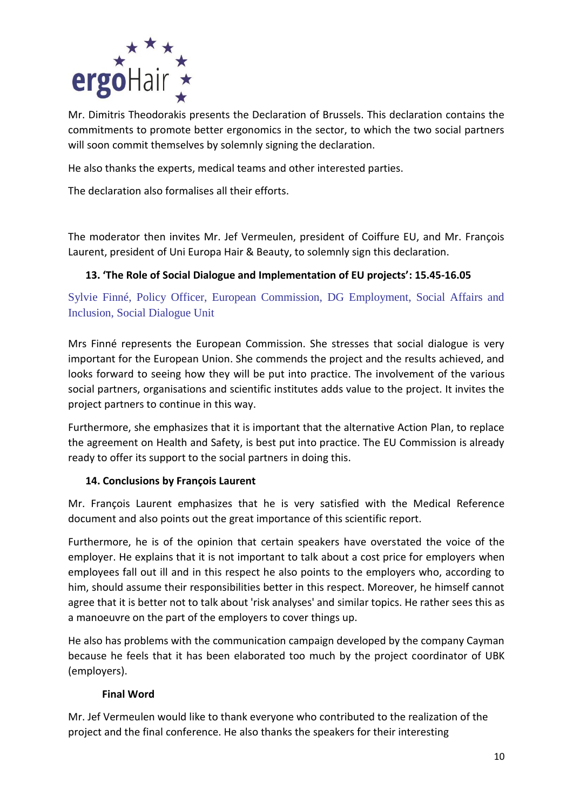

Mr. Dimitris Theodorakis presents the Declaration of Brussels. This declaration contains the commitments to promote better ergonomics in the sector, to which the two social partners will soon commit themselves by solemnly signing the declaration.

He also thanks the experts, medical teams and other interested parties.

The declaration also formalises all their efforts.

The moderator then invites Mr. Jef Vermeulen, president of Coiffure EU, and Mr. François Laurent, president of Uni Europa Hair & Beauty, to solemnly sign this declaration.

## **13. 'The Role of Social Dialogue and Implementation of EU projects': 15.45-16.05**

Sylvie Finné, Policy Officer, European Commission, DG Employment, Social Affairs and Inclusion, Social Dialogue Unit

Mrs Finné represents the European Commission. She stresses that social dialogue is very important for the European Union. She commends the project and the results achieved, and looks forward to seeing how they will be put into practice. The involvement of the various social partners, organisations and scientific institutes adds value to the project. It invites the project partners to continue in this way.

Furthermore, she emphasizes that it is important that the alternative Action Plan, to replace the agreement on Health and Safety, is best put into practice. The EU Commission is already ready to offer its support to the social partners in doing this.

## **14. Conclusions by François Laurent**

Mr. François Laurent emphasizes that he is very satisfied with the Medical Reference document and also points out the great importance of this scientific report.

Furthermore, he is of the opinion that certain speakers have overstated the voice of the employer. He explains that it is not important to talk about a cost price for employers when employees fall out ill and in this respect he also points to the employers who, according to him, should assume their responsibilities better in this respect. Moreover, he himself cannot agree that it is better not to talk about 'risk analyses' and similar topics. He rather sees this as a manoeuvre on the part of the employers to cover things up.

He also has problems with the communication campaign developed by the company Cayman because he feels that it has been elaborated too much by the project coordinator of UBK (employers).

## **Final Word**

Mr. Jef Vermeulen would like to thank everyone who contributed to the realization of the project and the final conference. He also thanks the speakers for their interesting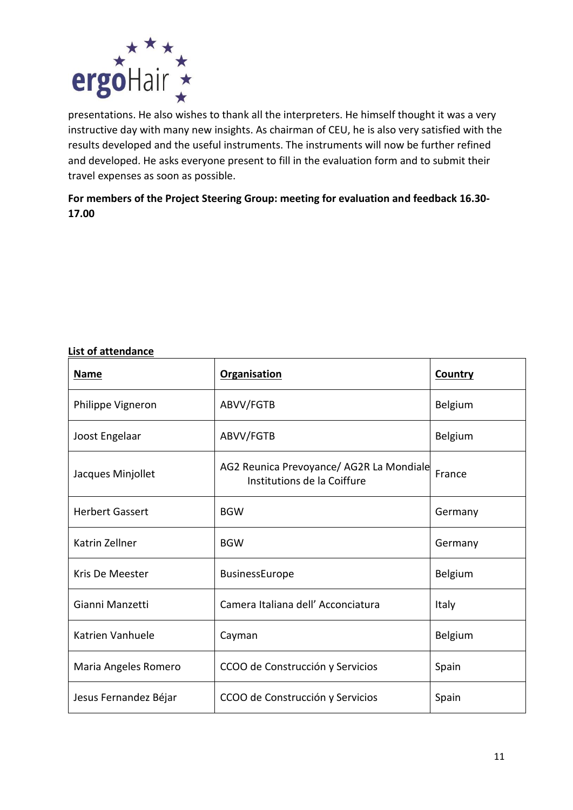

presentations. He also wishes to thank all the interpreters. He himself thought it was a very instructive day with many new insights. As chairman of CEU, he is also very satisfied with the results developed and the useful instruments. The instruments will now be further refined and developed. He asks everyone present to fill in the evaluation form and to submit their travel expenses as soon as possible.

**For members of the Project Steering Group: meeting for evaluation and feedback 16.30- 17.00**

#### **List of attendance**

| <b>Name</b>            | <b>Organisation</b>                                                     | <b>Country</b> |
|------------------------|-------------------------------------------------------------------------|----------------|
| Philippe Vigneron      | ABVV/FGTB                                                               | <b>Belgium</b> |
| Joost Engelaar         | ABVV/FGTB                                                               | Belgium        |
| Jacques Minjollet      | AG2 Reunica Prevoyance/ AG2R La Mondiale<br>Institutions de la Coiffure | France         |
| <b>Herbert Gassert</b> | <b>BGW</b>                                                              | Germany        |
| Katrin Zellner         | <b>BGW</b>                                                              | Germany        |
| Kris De Meester        | BusinessEurope                                                          | Belgium        |
| Gianni Manzetti        | Camera Italiana dell' Acconciatura                                      | Italy          |
| Katrien Vanhuele       | Cayman                                                                  | Belgium        |
| Maria Angeles Romero   | CCOO de Construcción y Servicios                                        | Spain          |
| Jesus Fernandez Béjar  | CCOO de Construcción y Servicios                                        | Spain          |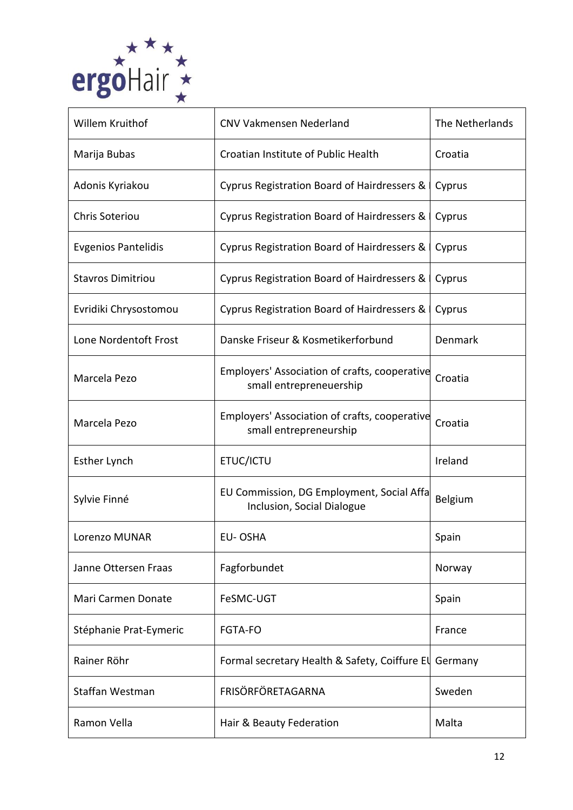

| Willem Kruithof            | <b>CNV Vakmensen Nederland</b>                                           | The Netherlands |
|----------------------------|--------------------------------------------------------------------------|-----------------|
| Marija Bubas               | Croatian Institute of Public Health                                      | Croatia         |
| Adonis Kyriakou            | Cyprus Registration Board of Hairdressers &                              | Cyprus          |
| <b>Chris Soteriou</b>      | Cyprus Registration Board of Hairdressers &                              | Cyprus          |
| <b>Evgenios Pantelidis</b> | Cyprus Registration Board of Hairdressers &                              | Cyprus          |
| <b>Stavros Dimitriou</b>   | Cyprus Registration Board of Hairdressers &                              | Cyprus          |
| Evridiki Chrysostomou      | Cyprus Registration Board of Hairdressers &                              | Cyprus          |
| Lone Nordentoft Frost      | Danske Friseur & Kosmetikerforbund                                       | Denmark         |
| Marcela Pezo               | Employers' Association of crafts, cooperative<br>small entrepreneuership | Croatia         |
| Marcela Pezo               | Employers' Association of crafts, cooperative<br>small entrepreneurship  | Croatia         |
| <b>Esther Lynch</b>        | ETUC/ICTU                                                                | Ireland         |
| Sylvie Finné               | EU Commission, DG Employment, Social Affa<br>Inclusion, Social Dialogue  | <b>Belgium</b>  |
| Lorenzo MUNAR              | EU-OSHA                                                                  | Spain           |
| Janne Ottersen Fraas       | Fagforbundet                                                             | Norway          |
| Mari Carmen Donate         | FeSMC-UGT                                                                | Spain           |
| Stéphanie Prat-Eymeric     | <b>FGTA-FO</b>                                                           | France          |
| Rainer Röhr                | Formal secretary Health & Safety, Coiffure El                            | Germany         |
| Staffan Westman            | FRISÖRFÖRETAGARNA                                                        | Sweden          |
| Ramon Vella                | Hair & Beauty Federation                                                 | Malta           |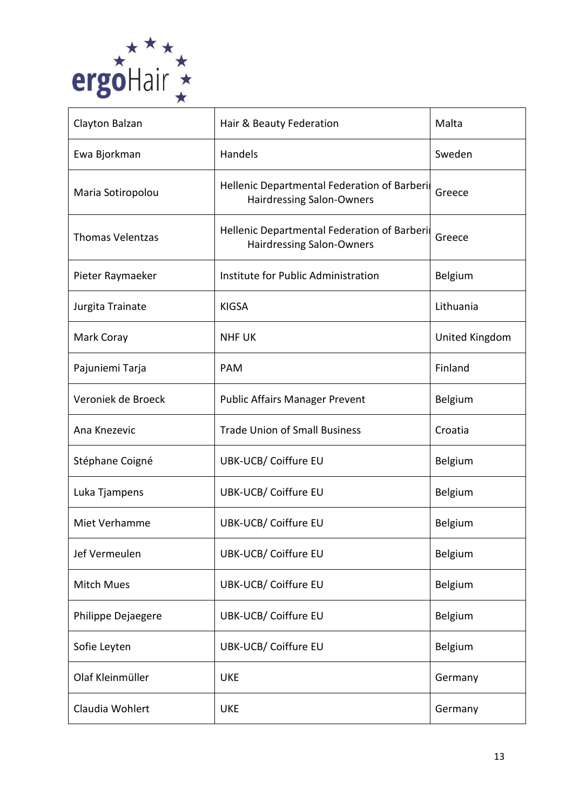

| Clayton Balzan          | Hair & Beauty Federation                                                        | Malta          |
|-------------------------|---------------------------------------------------------------------------------|----------------|
| Ewa Bjorkman            | Handels                                                                         | Sweden         |
| Maria Sotiropolou       | Hellenic Departmental Federation of Barberi<br><b>Hairdressing Salon-Owners</b> | Greece         |
| <b>Thomas Velentzas</b> | Hellenic Departmental Federation of Barberi<br><b>Hairdressing Salon-Owners</b> | Greece         |
| Pieter Raymaeker        | Institute for Public Administration                                             | <b>Belgium</b> |
| Jurgita Trainate        | <b>KIGSA</b>                                                                    | Lithuania      |
| Mark Coray              | <b>NHF UK</b>                                                                   | United Kingdom |
| Pajuniemi Tarja         | <b>PAM</b>                                                                      | Finland        |
| Veroniek de Broeck      | <b>Public Affairs Manager Prevent</b>                                           | Belgium        |
| Ana Knezevic            | <b>Trade Union of Small Business</b>                                            | Croatia        |
| Stéphane Coigné         | <b>UBK-UCB/ Coiffure EU</b>                                                     | <b>Belgium</b> |
| Luka Tjampens           | <b>UBK-UCB/ Coiffure EU</b>                                                     | Belgium        |
| Miet Verhamme           | <b>UBK-UCB/ Coiffure EU</b>                                                     | Belgium        |
| Jef Vermeulen           | <b>UBK-UCB/ Coiffure EU</b>                                                     | Belgium        |
| <b>Mitch Mues</b>       | <b>UBK-UCB/ Coiffure EU</b>                                                     | Belgium        |
| Philippe Dejaegere      | <b>UBK-UCB/ Coiffure EU</b>                                                     | Belgium        |
| Sofie Leyten            | <b>UBK-UCB/ Coiffure EU</b>                                                     | Belgium        |
| Olaf Kleinmüller        | <b>UKE</b>                                                                      | Germany        |
| Claudia Wohlert         | <b>UKE</b>                                                                      | Germany        |